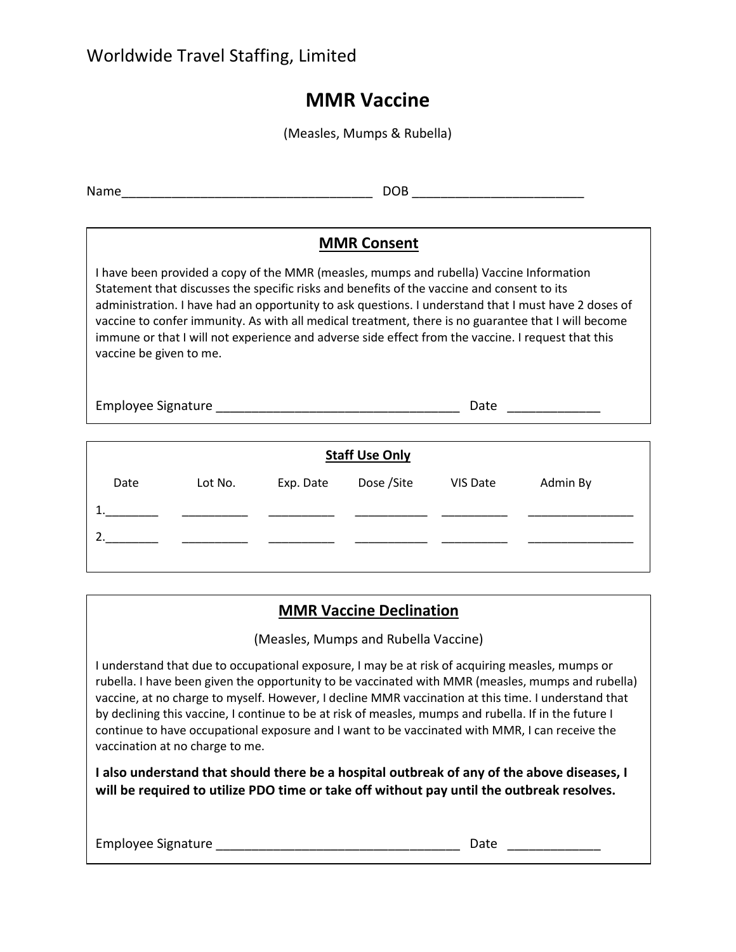## **MMR Vaccine**

(Measles, Mumps & Rubella)

| Name                                                                                                                                                                                                                                                                                                                                                                                                                                                                                                                                                        | DOB. |  |  |  |  |
|-------------------------------------------------------------------------------------------------------------------------------------------------------------------------------------------------------------------------------------------------------------------------------------------------------------------------------------------------------------------------------------------------------------------------------------------------------------------------------------------------------------------------------------------------------------|------|--|--|--|--|
| <b>MMR Consent</b><br>I have been provided a copy of the MMR (measles, mumps and rubella) Vaccine Information<br>Statement that discusses the specific risks and benefits of the vaccine and consent to its<br>administration. I have had an opportunity to ask questions. I understand that I must have 2 doses of<br>vaccine to confer immunity. As with all medical treatment, there is no guarantee that I will become<br>immune or that I will not experience and adverse side effect from the vaccine. I request that this<br>vaccine be given to me. |      |  |  |  |  |
|                                                                                                                                                                                                                                                                                                                                                                                                                                                                                                                                                             | Date |  |  |  |  |
| <b>Staff Use Only</b>                                                                                                                                                                                                                                                                                                                                                                                                                                                                                                                                       |      |  |  |  |  |

| stan and anni |         |           |                      |  |          |  |  |
|---------------|---------|-----------|----------------------|--|----------|--|--|
| Date          | Lot No. | Exp. Date | Dose / Site VIS Date |  | Admin By |  |  |
|               |         |           |                      |  |          |  |  |
|               |         |           |                      |  |          |  |  |
|               |         |           |                      |  |          |  |  |

## **MMR Vaccine Declination**

(Measles, Mumps and Rubella Vaccine)

I understand that due to occupational exposure, I may be at risk of acquiring measles, mumps or rubella. I have been given the opportunity to be vaccinated with MMR (measles, mumps and rubella) vaccine, at no charge to myself. However, I decline MMR vaccination at this time. I understand that by declining this vaccine, I continue to be at risk of measles, mumps and rubella. If in the future I continue to have occupational exposure and I want to be vaccinated with MMR, I can receive the vaccination at no charge to me.

**I also understand that should there be a hospital outbreak of any of the above diseases, I will be required to utilize PDO time or take off without pay until the outbreak resolves.**

| <b>Employee Signature</b> |  |  |
|---------------------------|--|--|
|                           |  |  |